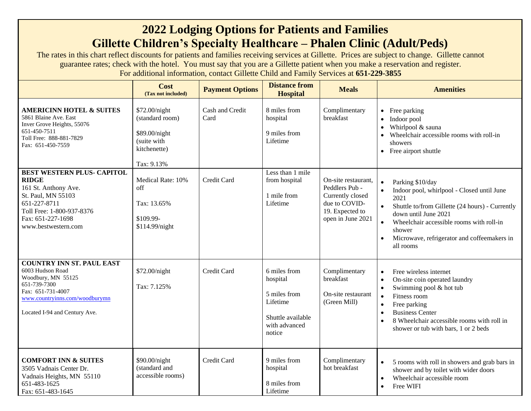## **2022 Lodging Options for Patients and Families Gillette Children's Specialty Healthcare – Phalen Clinic (Adult/Peds)**

The rates in this chart reflect discounts for patients and families receiving services at Gillette. Prices are subject to change. Gillette cannot guarantee rates; check with the hotel. You must say that you are a Gillette patient when you make a reservation and register. For additional information, contact Gillette Child and Family Services at **651-229-3855**

|                                                                                                                                                                                          | Cost<br>(Tax not included)                                                                     | <b>Payment Options</b>  | <b>Distance from</b><br><b>Hospital</b>                                                              | <b>Meals</b>                                                                                                       | <b>Amenities</b>                                                                                                                                                                                                                                                                                                              |
|------------------------------------------------------------------------------------------------------------------------------------------------------------------------------------------|------------------------------------------------------------------------------------------------|-------------------------|------------------------------------------------------------------------------------------------------|--------------------------------------------------------------------------------------------------------------------|-------------------------------------------------------------------------------------------------------------------------------------------------------------------------------------------------------------------------------------------------------------------------------------------------------------------------------|
| <b>AMERICINN HOTEL &amp; SUITES</b><br>5861 Blaine Ave. East<br>Inver Grove Heights, 55076<br>651-450-7511<br>Toll Free: 888-881-7829<br>Fax: 651-450-7559                               | \$72.00/night<br>(standard room)<br>\$89.00/night<br>(suite with<br>kitchenette)<br>Tax: 9.13% | Cash and Credit<br>Card | 8 miles from<br>hospital<br>9 miles from<br>Lifetime                                                 | Complimentary<br>breakfast                                                                                         | • Free parking<br>• Indoor pool<br>Whirlpool & sauna<br>• Wheelchair accessible rooms with roll-in<br>showers<br>• Free airport shuttle                                                                                                                                                                                       |
| <b>BEST WESTERN PLUS- CAPITOL</b><br><b>RIDGE</b><br>161 St. Anthony Ave.<br>St. Paul, MN 55103<br>651-227-8711<br>Toll Free: 1-800-937-8376<br>Fax: 651-227-1698<br>www.bestwestern.com | Medical Rate: 10%<br>off<br>Tax: 13.65%<br>\$109.99-<br>\$114.99/night                         | <b>Credit Card</b>      | Less than 1 mile<br>from hospital<br>1 mile from<br>Lifetime                                         | On-site restaurant,<br>Peddlers Pub -<br>Currently closed<br>due to COVID-<br>19. Expected to<br>open in June 2021 | Parking \$10/day<br>$\bullet$<br>Indoor pool, whirlpool - Closed until June<br>$\bullet$<br>2021<br>Shuttle to/from Gillette (24 hours) - Currently<br>down until June 2021<br>$\bullet$<br>Wheelchair accessible rooms with roll-in<br>shower<br>Microwave, refrigerator and coffeemakers in<br>$\bullet$<br>all rooms       |
| <b>COUNTRY INN ST. PAUL EAST</b><br>6003 Hudson Road<br>Woodbury, MN 55125<br>651-739-7300<br>Fax: 651-731-4007<br>www.countryinns.com/woodburymn<br>Located I-94 and Century Ave.       | \$72.00/night<br>Tax: 7.125%                                                                   | Credit Card             | 6 miles from<br>hospital<br>5 miles from<br>Lifetime<br>Shuttle available<br>with advanced<br>notice | Complimentary<br>breakfast<br>On-site restaurant<br>(Green Mill)                                                   | Free wireless internet<br>$\bullet$<br>On-site coin operated laundry<br>$\bullet$<br>Swimming pool & hot tub<br>$\bullet$<br>Fitness room<br>$\bullet$<br>Free parking<br>$\bullet$<br><b>Business Center</b><br>$\bullet$<br>8 Wheelchair accessible rooms with roll in<br>$\bullet$<br>shower or tub with bars, 1 or 2 beds |
| <b>COMFORT INN &amp; SUITES</b><br>3505 Vadnais Center Dr.<br>Vadnais Heights, MN 55110<br>651-483-1625<br>Fax: 651-483-1645                                                             | \$90.00/night<br>(standard and<br>accessible rooms)                                            | Credit Card             | 9 miles from<br>hospital<br>8 miles from<br>Lifetime                                                 | Complimentary<br>hot breakfast                                                                                     | 5 rooms with roll in showers and grab bars in<br>shower and by toilet with wider doors<br>Wheelchair accessible room<br>$\bullet$<br>Free WIFI<br>$\bullet$                                                                                                                                                                   |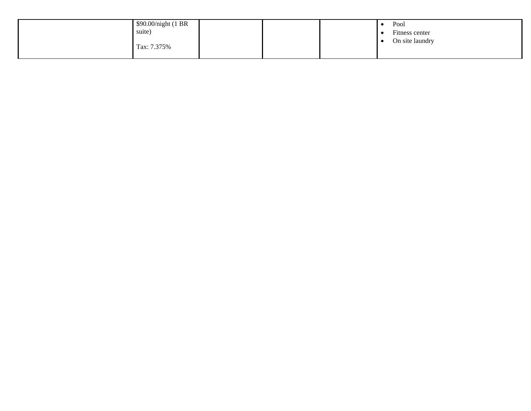| \$90.00/night (1 BR |  | Pool            |
|---------------------|--|-----------------|
| suite)              |  | Fitness center  |
| Tax: 7.375%         |  | On site laundry |
|                     |  |                 |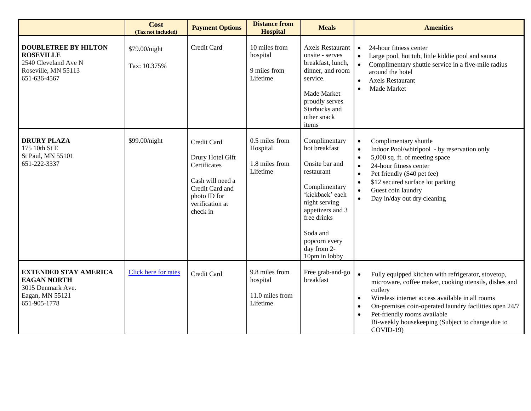|                                                                                                                | Cost<br>(Tax not included)    | <b>Payment Options</b>                                                                                                                | <b>Distance from</b><br><b>Hospital</b>                   | <b>Meals</b>                                                                                                                                                                                                        | <b>Amenities</b>                                                                                                                                                                                                                                                                                                                                                              |
|----------------------------------------------------------------------------------------------------------------|-------------------------------|---------------------------------------------------------------------------------------------------------------------------------------|-----------------------------------------------------------|---------------------------------------------------------------------------------------------------------------------------------------------------------------------------------------------------------------------|-------------------------------------------------------------------------------------------------------------------------------------------------------------------------------------------------------------------------------------------------------------------------------------------------------------------------------------------------------------------------------|
| <b>DOUBLETREE BY HILTON</b><br><b>ROSEVILLE</b><br>2540 Cleveland Ave N<br>Roseville, MN 55113<br>651-636-4567 | \$79.00/night<br>Tax: 10.375% | Credit Card                                                                                                                           | 10 miles from<br>hospital<br>9 miles from<br>Lifetime     | <b>Axels Restaurant</b><br>onsite - serves<br>breakfast, lunch,<br>dinner, and room<br>service.<br>Made Market<br>proudly serves<br>Starbucks and<br>other snack<br>items                                           | 24-hour fitness center<br>Large pool, hot tub, little kiddie pool and sauna<br>$\bullet$<br>Complimentary shuttle service in a five-mile radius<br>$\bullet$<br>around the hotel<br><b>Axels Restaurant</b><br>$\bullet$<br>Made Market<br>$\bullet$                                                                                                                          |
| <b>DRURY PLAZA</b><br>175 10th St E<br>St Paul, MN 55101<br>651-222-3337                                       | \$99.00/night                 | Credit Card<br>Drury Hotel Gift<br>Certificates<br>Cash will need a<br>Credit Card and<br>photo ID for<br>verification at<br>check in | 0.5 miles from<br>Hospital<br>1.8 miles from<br>Lifetime  | Complimentary<br>hot breakfast<br>Onsite bar and<br>restaurant<br>Complimentary<br>'kickback' each<br>night serving<br>appetizers and 3<br>free drinks<br>Soda and<br>popcorn every<br>day from 2-<br>10pm in lobby | Complimentary shuttle<br>$\bullet$<br>Indoor Pool/whirlpool - by reservation only<br>$\bullet$<br>5,000 sq. ft. of meeting space<br>$\bullet$<br>24-hour fitness center<br>$\bullet$<br>Pet friendly (\$40 pet fee)<br>$\bullet$<br>\$12 secured surface lot parking<br>$\bullet$<br>Guest coin laundry<br>$\bullet$<br>Day in/day out dry cleaning<br>$\bullet$              |
| <b>EXTENDED STAY AMERICA</b><br><b>EAGAN NORTH</b><br>3015 Denmark Ave.<br>Eagan, MN 55121<br>651-905-1778     | Click here for rates          | Credit Card                                                                                                                           | 9.8 miles from<br>hospital<br>11.0 miles from<br>Lifetime | Free grab-and-go<br>breakfast                                                                                                                                                                                       | Fully equipped kitchen with refrigerator, stovetop,<br>microware, coffee maker, cooking utensils, dishes and<br>cutlery<br>Wireless internet access available in all rooms<br>$\bullet$<br>On-premises coin-operated laundry facilities open 24/7<br>$\bullet$<br>Pet-friendly rooms available<br>$\bullet$<br>Bi-weekly housekeeping (Subject to change due to<br>$COVID-19$ |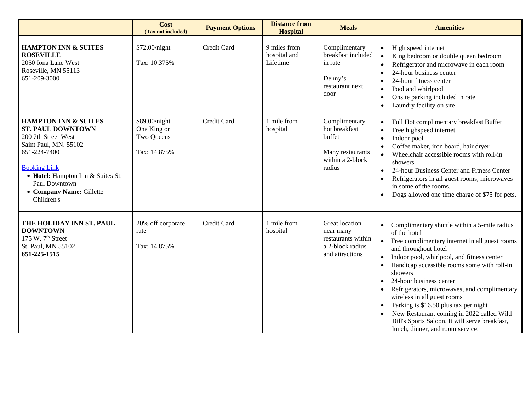|                                                                                                                                                                                                                                                    | Cost<br>(Tax not included)                                 | <b>Payment Options</b> | <b>Distance from</b><br><b>Hospital</b>  | <b>Meals</b>                                                                               | <b>Amenities</b>                                                                                                                                                                                                                                                                                                                                                                                                                                                                                                                                                                                      |
|----------------------------------------------------------------------------------------------------------------------------------------------------------------------------------------------------------------------------------------------------|------------------------------------------------------------|------------------------|------------------------------------------|--------------------------------------------------------------------------------------------|-------------------------------------------------------------------------------------------------------------------------------------------------------------------------------------------------------------------------------------------------------------------------------------------------------------------------------------------------------------------------------------------------------------------------------------------------------------------------------------------------------------------------------------------------------------------------------------------------------|
| <b>HAMPTON INN &amp; SUITES</b><br><b>ROSEVILLE</b><br>2050 Iona Lane West<br>Roseville, MN 55113<br>651-209-3000                                                                                                                                  | \$72.00/night<br>Tax: 10.375%                              | Credit Card            | 9 miles from<br>hospital and<br>Lifetime | Complimentary<br>breakfast included<br>in rate<br>Denny's<br>restaurant next<br>door       | High speed internet<br>$\bullet$<br>King bedroom or double queen bedroom<br>$\bullet$<br>Refrigerator and microwave in each room<br>24-hour business center<br>24-hour fitness center<br>Pool and whirlpool<br>$\bullet$<br>Onsite parking included in rate<br>$\bullet$<br>Laundry facility on site<br>$\bullet$                                                                                                                                                                                                                                                                                     |
| <b>HAMPTON INN &amp; SUITES</b><br><b>ST. PAUL DOWNTOWN</b><br>200 7th Street West<br>Saint Paul, MN. 55102<br>651-224-7400<br><b>Booking Link</b><br>• Hotel: Hampton Inn & Suites St.<br>Paul Downtown<br>• Company Name: Gillette<br>Children's | \$89.00/night<br>One King or<br>Two Queens<br>Tax: 14.875% | Credit Card            | 1 mile from<br>hospital                  | Complimentary<br>hot breakfast<br>buffet<br>Many restaurants<br>within a 2-block<br>radius | Full Hot complimentary breakfast Buffet<br>$\bullet$<br>Free highspeed internet<br>$\bullet$<br>Indoor pool<br>$\bullet$<br>Coffee maker, iron board, hair dryer<br>$\bullet$<br>Wheelchair accessible rooms with roll-in<br>$\bullet$<br>showers<br>24-hour Business Center and Fitness Center<br>$\bullet$<br>Refrigerators in all guest rooms, microwaves<br>in some of the rooms.<br>Dogs allowed one time charge of \$75 for pets.                                                                                                                                                               |
| THE HOLIDAY INN ST. PAUL<br><b>DOWNTOWN</b><br>175 W. 7 <sup>th</sup> Street<br>St. Paul, MN 55102<br>651-225-1515                                                                                                                                 | 20% off corporate<br>rate<br>Tax: 14.875%                  | Credit Card            | 1 mile from<br>hospital                  | Great location<br>near many<br>restaurants within<br>a 2-block radius<br>and attractions   | Complimentary shuttle within a 5-mile radius<br>of the hotel<br>Free complimentary internet in all guest rooms<br>$\bullet$<br>and throughout hotel<br>Indoor pool, whirlpool, and fitness center<br>$\bullet$<br>Handicap accessible rooms some with roll-in<br>showers<br>24-hour business center<br>$\bullet$<br>Refrigerators, microwaves, and complimentary<br>wireless in all guest rooms<br>Parking is \$16.50 plus tax per night<br>$\bullet$<br>New Restaurant coming in 2022 called Wild<br>$\bullet$<br>Bill's Sports Saloon. It will serve breakfast,<br>lunch, dinner, and room service. |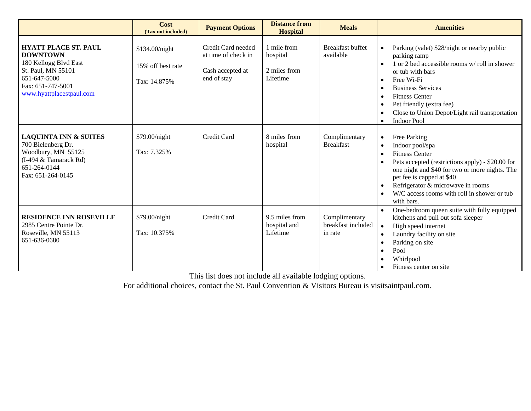|                                                                                                                                                                | Cost<br>(Tax not included)                          | <b>Payment Options</b>                                                       | <b>Distance from</b><br><b>Hospital</b>             | <b>Meals</b>                                   | <b>Amenities</b>                                                                                                                                                                                                                                                                                                                                            |
|----------------------------------------------------------------------------------------------------------------------------------------------------------------|-----------------------------------------------------|------------------------------------------------------------------------------|-----------------------------------------------------|------------------------------------------------|-------------------------------------------------------------------------------------------------------------------------------------------------------------------------------------------------------------------------------------------------------------------------------------------------------------------------------------------------------------|
| <b>HYATT PLACE ST. PAUL</b><br><b>DOWNTOWN</b><br>180 Kellogg Blvd East<br>St. Paul, MN 55101<br>651-647-5000<br>Fax: 651-747-5001<br>www.hyattplacestpaul.com | \$134.00/night<br>15% off best rate<br>Tax: 14.875% | Credit Card needed<br>at time of check in<br>Cash accepted at<br>end of stay | 1 mile from<br>hospital<br>2 miles from<br>Lifetime | <b>Breakfast buffet</b><br>available           | Parking (valet) \$28/night or nearby public<br>parking ramp<br>1 or 2 bed accessible rooms w/ roll in shower<br>$\bullet$<br>or tub with bars<br>Free Wi-Fi<br>$\bullet$<br><b>Business Services</b><br><b>Fitness Center</b><br>Pet friendly (extra fee)<br>$\bullet$<br>Close to Union Depot/Light rail transportation<br><b>Indoor Pool</b><br>$\bullet$ |
| <b>LAQUINTA INN &amp; SUITES</b><br>700 Bielenberg Dr.<br>Woodbury, MN 55125<br>(I-494 & Tamarack Rd)<br>651-264-0144<br>Fax: 651-264-0145                     | \$79.00/night<br>Tax: 7.325%                        | Credit Card                                                                  | 8 miles from<br>hospital                            | Complimentary<br><b>Breakfast</b>              | Free Parking<br>$\bullet$<br>Indoor pool/spa<br><b>Fitness Center</b><br>$\bullet$<br>Pets accepted (restrictions apply) - \$20.00 for<br>one night and \$40 for two or more nights. The<br>pet fee is capped at \$40<br>Refrigerator & microwave in rooms<br>$\bullet$<br>W/C access rooms with roll in shower or tub<br>with bars.                        |
| <b>RESIDENCE INN ROSEVILLE</b><br>2985 Centre Pointe Dr.<br>Roseville, MN 55113<br>651-636-0680                                                                | \$79.00/night<br>Tax: 10.375%                       | Credit Card                                                                  | 9.5 miles from<br>hospital and<br>Lifetime          | Complimentary<br>breakfast included<br>in rate | One-bedroom queen suite with fully equipped<br>$\bullet$<br>kitchens and pull out sofa sleeper<br>High speed internet<br>$\bullet$<br>Laundry facility on site<br>$\bullet$<br>Parking on site<br>$\bullet$<br>Pool<br>Whirlpool<br>Fitness center on site                                                                                                  |

This list does not include all available lodging options.

For additional choices, contact the St. Paul Convention & Visitors Bureau is visitsaintpaul.com.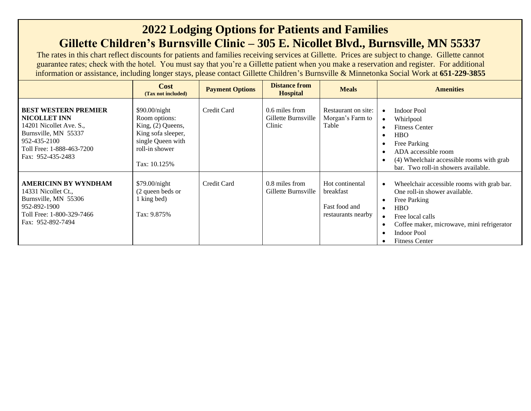## **2022 Lodging Options for Patients and Families Gillette Children's Burnsville Clinic – 305 E. Nicollet Blvd., Burnsville, MN 55337**

The rates in this chart reflect discounts for patients and families receiving services at Gillette. Prices are subject to change. Gillette cannot guarantee rates; check with the hotel. You must say that you're a Gillette patient when you make a reservation and register. For additional information or assistance, including longer stays, please contact Gillette Children's Burnsville & Minnetonka Social Work at **651-229-3855**

|                                                                                                                                                                         | <b>Cost</b><br>(Tax not included)                                                                                                  | <b>Payment Options</b> | <b>Distance from</b><br><b>Hospital</b>         | <b>Meals</b>                                                        | <b>Amenities</b>                                                                                                                                                                                                                                                                                                      |
|-------------------------------------------------------------------------------------------------------------------------------------------------------------------------|------------------------------------------------------------------------------------------------------------------------------------|------------------------|-------------------------------------------------|---------------------------------------------------------------------|-----------------------------------------------------------------------------------------------------------------------------------------------------------------------------------------------------------------------------------------------------------------------------------------------------------------------|
| <b>BEST WESTERN PREMIER</b><br><b>NICOLLET INN</b><br>14201 Nicollet Ave. S.,<br>Burnsville, MN 55337<br>952-435-2100<br>Toll Free: 1-888-463-7200<br>Fax: 952-435-2483 | \$90.00/night<br>Room options:<br>King, $(2)$ Queens,<br>King sofa sleeper,<br>single Queen with<br>roll-in shower<br>Tax: 10.125% | Credit Card            | 0.6 miles from<br>Gillette Burnsville<br>Clinic | Restaurant on site:<br>Morgan's Farm to<br>Table                    | Indoor Pool<br>$\bullet$<br>Whirlpool<br>$\bullet$<br><b>Fitness Center</b><br>$\bullet$<br><b>HBO</b><br>$\bullet$<br>Free Parking<br>$\bullet$<br>ADA accessible room<br>$\bullet$<br>(4) Wheelchair accessible rooms with grab<br>$\bullet$<br>bar. Two roll-in showers available.                                 |
| <b>AMERICINN BY WYNDHAM</b><br>14331 Nicollet Ct.,<br>Burnsville, MN 55306<br>952-892-1900<br>Toll Free: 1-800-329-7466<br>Fax: 952-892-7494                            | \$79.00/night<br>(2 queen beds or<br>1 king bed)<br>Tax: 9.875%                                                                    | Credit Card            | 0.8 miles from<br>Gillette Burnsville           | Hot continental<br>breakfast<br>Fast food and<br>restaurants nearby | Wheelchair accessible rooms with grab bar.<br>$\bullet$<br>One roll-in shower available.<br>Free Parking<br>$\bullet$<br><b>HBO</b><br>$\bullet$<br>Free local calls<br>$\bullet$<br>Coffee maker, microwave, mini refrigerator<br>$\bullet$<br><b>Indoor Pool</b><br>$\bullet$<br><b>Fitness Center</b><br>$\bullet$ |